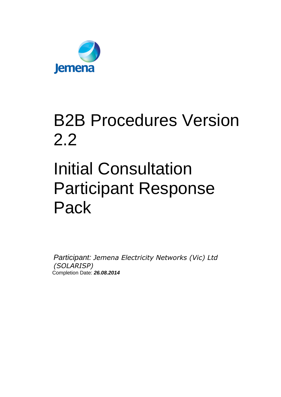

## B2B Procedures Version 2.2

# Initial Consultation Participant Response Pack

*Participant: Jemena Electricity Networks (Vic) Ltd (SOLARISP)* Completion Date: *26.08.2014*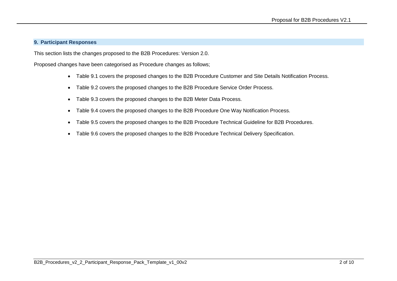#### **9. Participant Responses**

This section lists the changes proposed to the B2B Procedures: Version 2.0.

Proposed changes have been categorised as Procedure changes as follows;

- Table 9.1 covers the proposed changes to the B2B Procedure Customer and Site Details Notification Process.
- Table 9.2 covers the proposed changes to the B2B Procedure Service Order Process.
- Table 9.3 covers the proposed changes to the B2B Meter Data Process.
- Table 9.4 covers the proposed changes to the B2B Procedure One Way Notification Process.
- Table 9.5 covers the proposed changes to the B2B Procedure Technical Guideline for B2B Procedures.
- Table 9.6 covers the proposed changes to the B2B Procedure Technical Delivery Specification.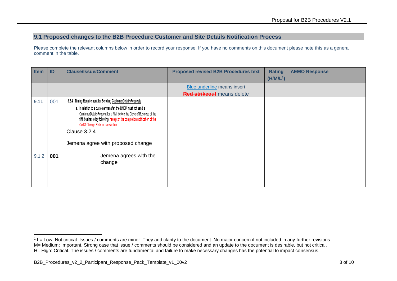### **9.1 Proposed changes to the B2B Procedure Customer and Site Details Notification Process**

| <b>Item</b> | ID  | <b>Clause/Issue/Comment</b>                                                                                                                                                                                                                                                                                      | <b>Proposed revised B2B Procedures text</b> | <b>Rating</b>         | <b>AEMO Response</b> |
|-------------|-----|------------------------------------------------------------------------------------------------------------------------------------------------------------------------------------------------------------------------------------------------------------------------------------------------------------------|---------------------------------------------|-----------------------|----------------------|
|             |     |                                                                                                                                                                                                                                                                                                                  |                                             | (H/M/L <sup>1</sup> ) |                      |
|             |     |                                                                                                                                                                                                                                                                                                                  | Blue underline means insert                 |                       |                      |
|             |     |                                                                                                                                                                                                                                                                                                                  | <b>Red strikeout</b> means delete           |                       |                      |
| 9.11        | 001 | 3.2.4 Timing Requirement for Sending CustomerDetailsRequests                                                                                                                                                                                                                                                     |                                             |                       |                      |
|             |     | a. In relation to a customer transfer, the DNSP must not send a<br>CustomerDetailsRequest for a NMI before the Close of Business of the<br>fifth business day following- receipt of the completion notification of the<br>CATS Change Retailer transaction.<br>Clause 3.2.4<br>Jemena agree with proposed change |                                             |                       |                      |
| 9.1.2       | 001 | Jemena agrees with the<br>change                                                                                                                                                                                                                                                                                 |                                             |                       |                      |
|             |     |                                                                                                                                                                                                                                                                                                                  |                                             |                       |                      |
|             |     |                                                                                                                                                                                                                                                                                                                  |                                             |                       |                      |

<sup>-</sup> $1$  L= Low: Not critical. Issues / comments are minor. They add clarity to the document. No major concern if not included in any further revisions M= Medium: Important. Strong case that issue / comments should be considered and an update to the document is desirable, but not critical. H= High: Critical. The issues / comments are fundamental and failure to make necessary changes has the potential to impact consensus.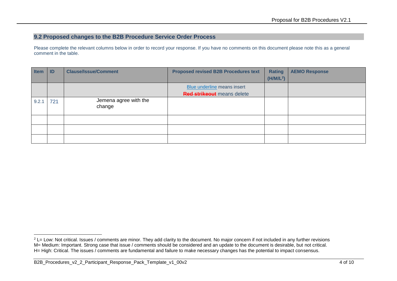### **9.2 Proposed changes to the B2B Procedure Service Order Process**

| <b>Item</b> | ID  | <b>Clause/Issue/Comment</b>     | <b>Proposed revised B2B Procedures text</b> | <b>Rating</b>         | <b>AEMO Response</b> |
|-------------|-----|---------------------------------|---------------------------------------------|-----------------------|----------------------|
|             |     |                                 |                                             | (H/M/L <sup>2</sup> ) |                      |
|             |     |                                 | Blue underline means insert                 |                       |                      |
|             |     |                                 | <b>Red strikeout</b> means delete           |                       |                      |
| 9.2.1       | 721 | Jemena agree with the<br>change |                                             |                       |                      |
|             |     |                                 |                                             |                       |                      |
|             |     |                                 |                                             |                       |                      |
|             |     |                                 |                                             |                       |                      |

<sup>-</sup><sup>2</sup> L= Low: Not critical. Issues / comments are minor. They add clarity to the document. No major concern if not included in any further revisions M= Medium: Important. Strong case that issue / comments should be considered and an update to the document is desirable, but not critical. H= High: Critical. The issues / comments are fundamental and failure to make necessary changes has the potential to impact consensus.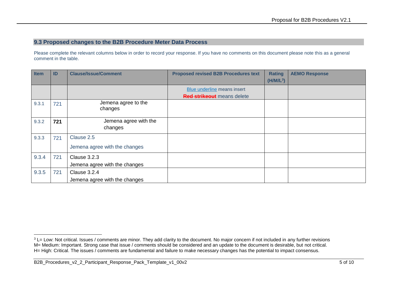#### **9.3 Proposed changes to the B2B Procedure Meter Data Process**

| Item  | ID  | <b>Clause/Issue/Comment</b>                   | <b>Proposed revised B2B Procedures text</b> | <b>Rating</b><br>$(H/M/L^3)$ | <b>AEMO Response</b> |
|-------|-----|-----------------------------------------------|---------------------------------------------|------------------------------|----------------------|
|       |     |                                               | Blue underline means insert                 |                              |                      |
|       |     |                                               | <b>Red strikeout</b> means delete           |                              |                      |
| 9.3.1 | 721 | Jemena agree to the<br>changes                |                                             |                              |                      |
| 9.3.2 | 721 | Jemena agree with the<br>changes              |                                             |                              |                      |
| 9.3.3 | 721 | Clause 2.5<br>Jemena agree with the changes   |                                             |                              |                      |
| 9.3.4 | 721 | Clause 3.2.3<br>Jemena agree with the changes |                                             |                              |                      |
| 9.3.5 | 721 | Clause 3.2.4<br>Jemena agree with the changes |                                             |                              |                      |

<sup>-</sup><sup>3</sup> L= Low: Not critical. Issues / comments are minor. They add clarity to the document. No major concern if not included in any further revisions M= Medium: Important. Strong case that issue / comments should be considered and an update to the document is desirable, but not critical. H= High: Critical. The issues / comments are fundamental and failure to make necessary changes has the potential to impact consensus.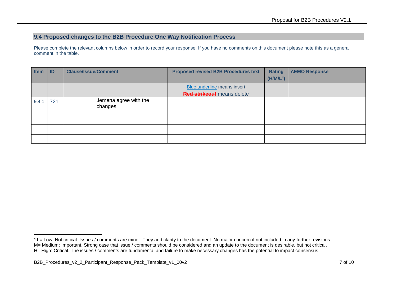### **9.4 Proposed changes to the B2B Procedure One Way Notification Process**

| <b>Item</b> | ID  | <b>Clause/Issue/Comment</b>      | <b>Proposed revised B2B Procedures text</b> | <b>Rating</b>         | <b>AEMO Response</b> |
|-------------|-----|----------------------------------|---------------------------------------------|-----------------------|----------------------|
|             |     |                                  |                                             | (H/M/L <sup>4</sup> ) |                      |
|             |     |                                  | Blue underline means insert                 |                       |                      |
|             |     |                                  | <b>Red strikeout</b> means delete           |                       |                      |
| 9.4.1       | 721 | Jemena agree with the<br>changes |                                             |                       |                      |
|             |     |                                  |                                             |                       |                      |
|             |     |                                  |                                             |                       |                      |
|             |     |                                  |                                             |                       |                      |

<sup>-</sup><sup>4</sup> L= Low: Not critical. Issues / comments are minor. They add clarity to the document. No major concern if not included in any further revisions M= Medium: Important. Strong case that issue / comments should be considered and an update to the document is desirable, but not critical. H= High: Critical. The issues / comments are fundamental and failure to make necessary changes has the potential to impact consensus.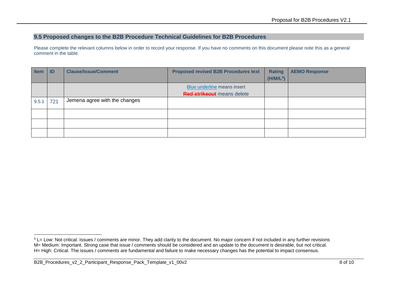#### **9.5 Proposed changes to the B2B Procedure Technical Guidelines for B2B Procedures**

Please complete the relevant columns below in order to record your response. If you have no comments on this document please note this as a general comment in the table.

| <b>Item</b> | ID  | <b>Clause/Issue/Comment</b>   | <b>Proposed revised B2B Procedures text</b> | <b>Rating</b><br>(H/M/L <sup>5</sup> ) | <b>AEMO Response</b> |
|-------------|-----|-------------------------------|---------------------------------------------|----------------------------------------|----------------------|
|             |     |                               |                                             |                                        |                      |
|             |     |                               | Blue underline means insert                 |                                        |                      |
|             |     |                               | <b>Red strikeout</b> means delete           |                                        |                      |
| 9.5.1       | 721 | Jemena agree with the changes |                                             |                                        |                      |
|             |     |                               |                                             |                                        |                      |
|             |     |                               |                                             |                                        |                      |
|             |     |                               |                                             |                                        |                      |
|             |     |                               |                                             |                                        |                      |

-

<sup>&</sup>lt;sup>5</sup> L= Low: Not critical. Issues / comments are minor. They add clarity to the document. No major concern if not included in any further revisions M= Medium: Important. Strong case that issue / comments should be considered and an update to the document is desirable, but not critical. H= High: Critical. The issues / comments are fundamental and failure to make necessary changes has the potential to impact consensus.